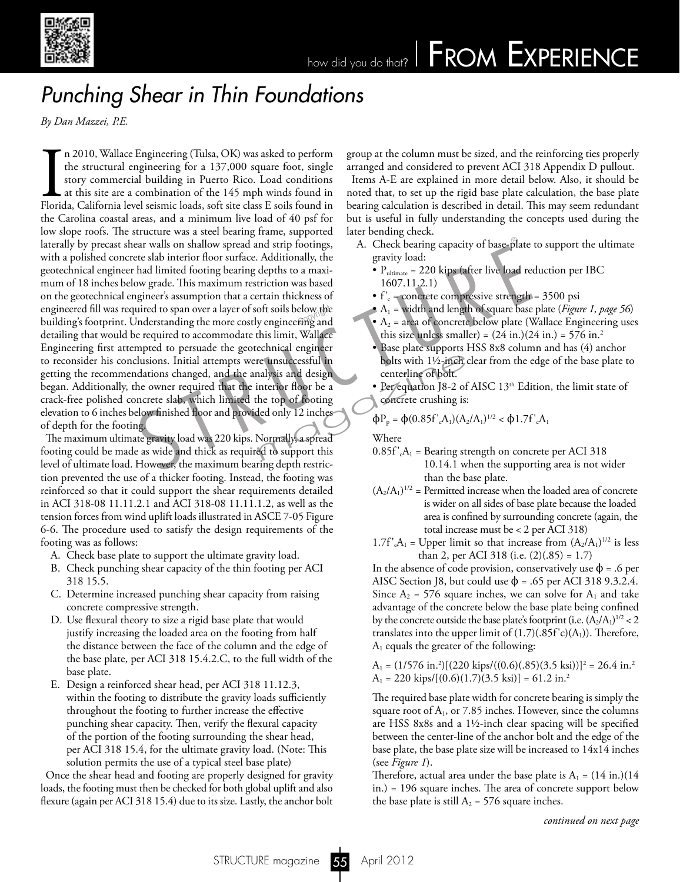

## how did you do that? FROM EXPERIENCE

## *Punching Shear in Thin Foundations*

*By Dan Mazzei, P.E.*

In 2010, Wallace Engineering (Tulsa, OK) was asked to perform the structural engineering for a 137,000 square foot, single story commercial building in Puerto Rico. Load conditions at this site are a combination of the 145 n 2010, Wallace Engineering (Tulsa, OK) was asked to perform the structural engineering for a 137,000 square foot, single story commercial building in Puerto Rico. Load conditions at this site are a combination of the 145 mph winds found in the Carolina coastal areas, and a minimum live load of 40 psf for low slope roofs. The structure was a steel bearing frame, supported laterally by precast shear walls on shallow spread and strip footings, with a polished concrete slab interior floor surface. Additionally, the geotechnical engineer had limited footing bearing depths to a maximum of 18 inches below grade. This maximum restriction was based on the geotechnical engineer's assumption that a certain thickness of engineered fill was required to span over a layer of soft soils below the<br>building's footprint. Understanding the more costly engineering and building's footprint. Understanding the more costly engineering and detailing that would be required to accommodate this limit, Wallace Engineering first attempted to persuade the geotechnical engineer to reconsider his conclusions. Initial attempts were unsuccessful in getting the recommendations changed, and the analysis and design began. Additionally, the owner required that the interior floor be a crack-free polished concrete slab, which limited the top of footing elevation to 6 inches below finished floor and provided only 12 inches of depth for the footing. Example 1 and Islamic scheme and strip footings,<br>
the starbing capacity of base-plate the slab interior floor surface. Additionally, the<br>
the gravity load:<br>
A. Check bearing capacity of base-plate<br>
the simulation was base re unsuccessful in<br>
halysis and design<br>
interior floor be a<br>
the top of footing<br>
the top of footing<br>
the top of footing<br>
the concrete crushing is:<br>  $\Phi P_p = \Phi(0.85f'_cA_1)(A_2)$ <br>
Normally, a spread<br>
where<br>
ed to support this<br>

The maximum ultimate gravity load was 220 kips. Normally, a spread footing could be made as wide and thick as required to support this level of ultimate load. However, the maximum bearing depth restriction prevented the use of a thicker footing. Instead, the footing was reinforced so that it could support the shear requirements detailed in ACI 318-08 11.11.2.1 and ACI 318-08 11.11.1.2, as well as the tension forces from wind uplift loads illustrated in ASCE 7-05 Figure 6-6. The procedure used to satisfy the design requirements of the footing was as follows:

- A. Check base plate to support the ultimate gravity load.
- B. Check punching shear capacity of the thin footing per ACI 318 15.5.
- C. Determine increased punching shear capacity from raising concrete compressive strength.
- D. Use flexural theory to size a rigid base plate that would justify increasing the loaded area on the footing from half the distance between the face of the column and the edge of the base plate, per ACI 318 15.4.2.C, to the full width of the base plate.
- E. Design a reinforced shear head, per ACI 318 11.12.3, within the footing to distribute the gravity loads sufficiently throughout the footing to further increase the effective punching shear capacity. Then, verify the flexural capacity of the portion of the footing surrounding the shear head, per ACI 318 15.4, for the ultimate gravity load. (Note: This solution permits the use of a typical steel base plate)

Once the shear head and footing are properly designed for gravity loads, the footing must then be checked for both global uplift and also flexure (again per ACI 318 15.4) due to its size. Lastly, the anchor bolt group at the column must be sized, and the reinforcing ties properly arranged and considered to prevent ACI 318 Appendix D pullout.

Items A-E are explained in more detail below. Also, it should be noted that, to set up the rigid base plate calculation, the base plate bearing calculation is described in detail. This may seem redundant but is useful in fully understanding the concepts used during the later bending check.

- A. Check bearing capacity of base-plate to support the ultimate gravity load:
	- $\bullet$  P<sub>ultimate</sub> = 220 kips (after live load reduction per IBC 1607.11.2.1)
	- $f'_c$  = concrete compressive strength = 3500 psi
	- A<sub>1</sub> = width and length of square base plate (*Figure 1, page 56*)
	- $\bullet$  A<sub>2</sub> = area of concrete below plate (Wallace Engineering uses this size unless smaller) =  $(24 \text{ in.})(24 \text{ in.}) = 576 \text{ in.}^2$
	- Base plate supports HSS 8x8 column and has (4) anchor bolts with 1½-inch clear from the edge of the base plate to centerline of bolt.
	- Per equation J8-2 of AISC  $13<sup>th</sup>$  Edition, the limit state of concrete crushing is:

 $\Phi P_p = \Phi (0.85 f'_{c} A_1) (A_2/A_1)^{1/2} < \Phi 1.7 f'_{c} A_1$ 

Where

- $0.85f'_{c}A_1$  = Bearing strength on concrete per ACI 318 10.14.1 when the supporting area is not wider than the base plate.
- $(A_2/A_1)^{1/2}$  = Permitted increase when the loaded area of concrete is wider on all sides of base plate because the loaded area is confined by surrounding concrete (again, the total increase must be < 2 per ACI 318)
- 1.7f'<sub>c</sub>A<sub>1</sub> = Upper limit so that increase from  $(A_2/A_1)^{1/2}$  is less than 2, per ACI 318 (i.e. (2)(.85) = 1.7)

In the absence of code provision, conservatively use  $\phi = 0.6$  per AISC Section J8, but could use  $\phi$  = .65 per ACI 318 9.3.2.4. Since  $A_2 = 576$  square inches, we can solve for  $A_1$  and take advantage of the concrete below the base plate being confined by the concrete outside the base plate's footprint (i.e.  $(A_2/A_1)^{1/2} < 2$ translates into the upper limit of  $(1.7)(.85f'c)(A_1)$ ). Therefore,  $A_1$  equals the greater of the following:

 $A_1 = (1/576 \text{ in.}^2)[(220 \text{ kips}/((0.6)(.85)(3.5 \text{ ksi}))]^2 = 26.4 \text{ in.}^2$  $A_1 = 220 \text{ kips}/[(0.6)(1.7)(3.5 \text{ ks})] = 61.2 \text{ in.}^2$ 

 The required base plate width for concrete bearing is simply the square root of  $A_1$ , or 7.85 inches. However, since the columns are HSS 8x8s and a 1½-inch clear spacing will be specified between the center-line of the anchor bolt and the edge of the base plate, the base plate size will be increased to 14x14 inches (see *Figure 1*).

Therefore, actual area under the base plate is  $A_1 = (14 \text{ in.})(14 \text{ m})$ in.) = 196 square inches. The area of concrete support below the base plate is still  $A_2 = 576$  square inches.

*continued on next page*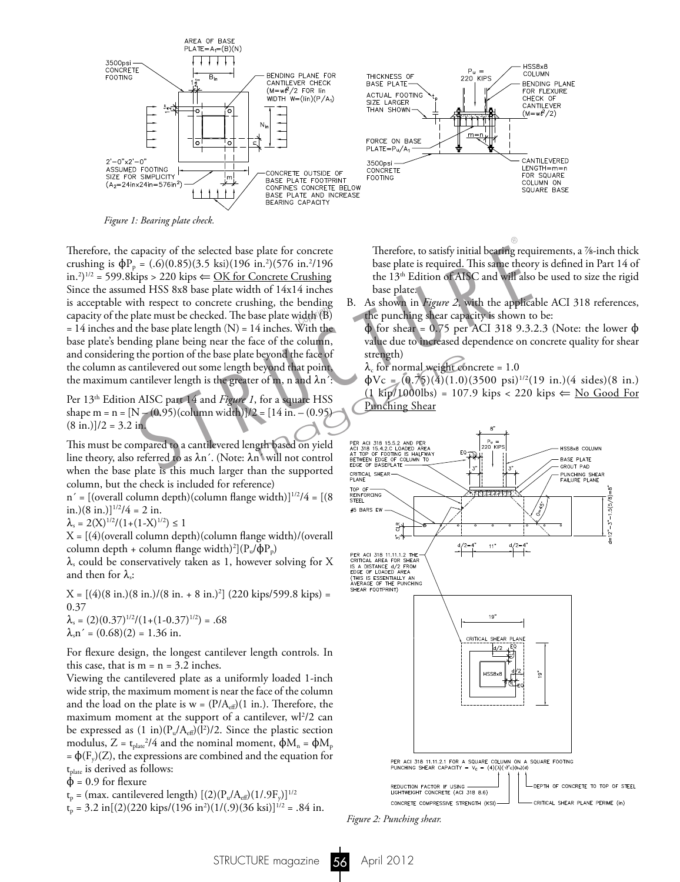

*Figure 1: Bearing plate check.*

 Therefore, the capacity of the selected base plate for concrete crushing is  $\Phi P_p = (.6)(0.85)(3.5 \text{ ksi})(196 \text{ in.}^2)(576 \text{ in.}^2/196$ in.<sup>2</sup>)<sup>1/2</sup> = 599.8kips > 220 kips  $\Leftarrow$  <u>OK for Concrete Crushing</u> Since the assumed HSS 8x8 base plate width of 14x14 inches is acceptable with respect to concrete crushing, the bending capacity of the plate must be checked. The base plate width (B)  $= 14$  inches and the base plate length (N)  $= 14$  inches. With the base plate's bending plane being near the face of the column, and considering the portion of the base plate beyond the face of the column as cantilevered out some length beyond that point, the maximum cantilever length is the greater of m, n and  $\lambda n'$ : apacity of the selected base plate for concrete<br>  $= (.6)(0.85)(3.5 \text{ ks})(196 \text{ in.}^2)(576 \text{ in.}^2/196$ <br>
hase plate is required. This same theor<br>
tips > 220 kips  $\Leftarrow$  <u>OK for Concrete Crushing</u><br>
the 13<sup>th</sup> Edition of AISC and wi

Per 13<sup>th</sup> Edition AISC part 14 and *Figure 1*, for a square HSS shape m =  $n = [N - (0.95)(\text{column width})]/2 = [14 \text{ in.} - (0.95)]$  $(8 \text{ in.})$ ]/2 = 3.2 in.

 This must be compared to a cantilevered length based on yield line theory, also referred to as  $\lambda n'$ . (Note:  $\lambda n'$  will not control when the base plate is this much larger than the supported column, but the check is included for reference)

 $n' = [(overall column depth)(column flange width)]^{1/2}/4 = [(8$ in.)(8 in.)] $\frac{1}{2}/4 = 2$  in.

 $\lambda_s = 2(X)^{1/2}/(1+(1-X)^{1/2}) \leq 1$ 

 $X = [(4)(\text{overall column depth})(\text{column flange width})/(\text{overall}$ column depth + column flange width)<sup>2</sup>]( $P_u/\phi P_p$ )

 $\lambda_s$  could be conservatively taken as 1, however solving for X and then for  $\lambda_s$ :

 $X = [(4)(8 \text{ in.})(8 \text{ in.})/(8 \text{ in.} + 8 \text{ in.})^2]$  (220 kips/599.8 kips) = 0.37  $\lambda_s = (2)(0.37)^{1/2}/(1+(1-0.37)^{1/2}) = .68$  $\lambda_s$ n' = (0.68)(2) = 1.36 in.

 For flexure design, the longest cantilever length controls. In this case, that is  $m = n = 3.2$  inches.

 Viewing the cantilevered plate as a uniformly loaded 1-inch wide strip, the maximum moment is near the face of the column and the load on the plate is  $w = (P/A_{\text{eff}})(1 \text{ in.})$ . Therefore, the maximum moment at the support of a cantilever,  $w^2/2$  can be expressed as  $(1 \text{ in}) (P_u/A_{\text{eff}})(l^2)/2$ . Since the plastic section modulus, Z =  $t_{\text{plate}}^2/4$  and the nominal moment,  $\phi M_n = \phi M_p$  $= \Phi(F_y)(Z)$ , the expressions are combined and the equation for  $t<sub>plate</sub>$  is derived as follows:

 $\Phi$  = 0.9 for flexure

 $t_p = (max.$  cantilevered length)  $[(2)(P_u/A_{eff})(1/.9F_y)]^{1/2}$ 

 $t_p = 3.2 \text{ in}[(2)(220 \text{ kips}/(196 \text{ in}^2)(1/(.9)(36 \text{ ksi}))^{1/2} = .84 \text{ in.}$ 

 Therefore, to satisfy initial bearing requirements, a 7/8-inch thick base plate is required. This same theory is defined in Part 14 of the 13<sup>th</sup> Edition of AISC and will also be used to size the rigid base plate.

B. As shown in *Figure 2*, with the applicable ACI 318 references, the punching shear capacity is shown to be:

 $\phi$  for shear = 0.75 per ACI 318 9.3.2.3 (Note: the lower  $\phi$ value due to increased dependence on concrete quality for shear strength)

 $\lambda_c$  for normal weight concrete = 1.0

 $\Phi$ Vc = (0.75)(4)(1.0)(3500 psi)<sup>1/2</sup>(19 in.)(4 sides)(8 in.)  $(1 \text{ kip}/1000\text{lbs}) = 107.9 \text{ kips} < 220 \text{ kips} \Leftarrow \text{No Good For}$ Punching Shear



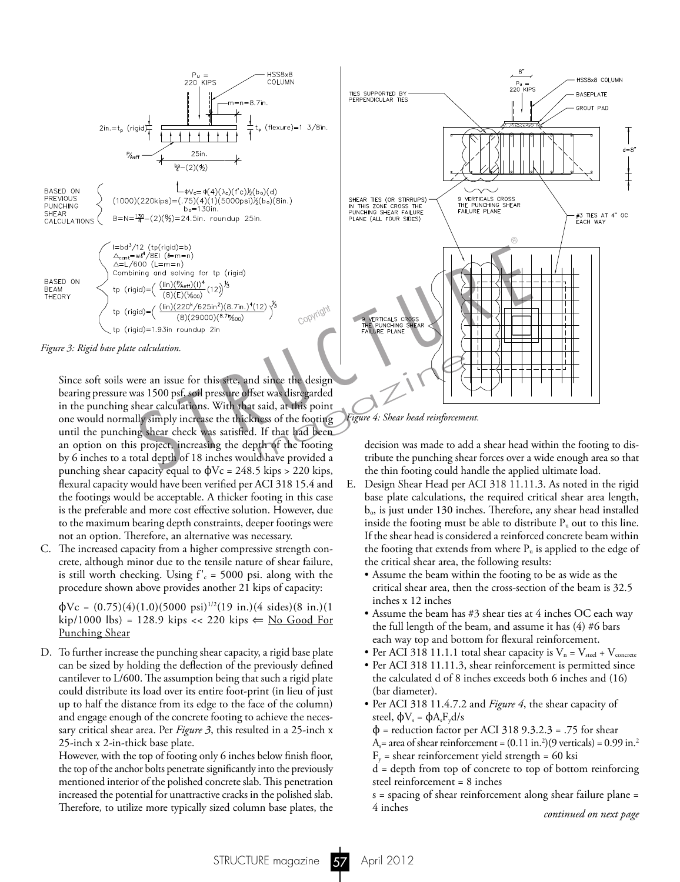

*Figure 3: Rigid base plate calculation.*

 Since soft soils were an issue for this site, and since the design bearing pressure was 1500 psf, soil pressure offset was disregarded in the punching shear calculations. With that said, at this point one would normally simply increase the thickness of the footing until the punching shear check was satisfied. If that had been an option on this project, increasing the depth of the footing by 6 inches to a total depth of 18 inches would have provided a punching shear capacity equal to  $\phi$ Vc = 248.5 kips > 220 kips, flexural capacity would have been verified per ACI 318 15.4 and the footings would be acceptable. A thicker footing in this case is the preferable and more cost effective solution. However, due to the maximum bearing depth constraints, deeper footings were not an option. Therefore, an alternative was necessary.

C. The increased capacity from a higher compressive strength concrete, although minor due to the tensile nature of shear failure, is still worth checking. Using  $f'_{c}$  = 5000 psi. along with the procedure shown above provides another 21 kips of capacity:

 $\phi$ Vc = (0.75)(4)(1.0)(5000 psi)<sup>1/2</sup>(19 in.)(4 sides)(8 in.)(1 kip/1000 lbs) = 128.9 kips << 220 kips ⇐ No Good For Punching Shear

D. To further increase the punching shear capacity, a rigid base plate can be sized by holding the deflection of the previously defined cantilever to L/600. The assumption being that such a rigid plate could distribute its load over its entire foot-print (in lieu of just up to half the distance from its edge to the face of the column) and engage enough of the concrete footing to achieve the necessary critical shear area. Per *Figure 3*, this resulted in a 25-inch x 25-inch x 2-in-thick base plate.

 However, with the top of footing only 6 inches below finish floor, the top of the anchor bolts penetrate significantly into the previously mentioned interior of the polished concrete slab. This penetration increased the potential for unattractive cracks in the polished slab. Therefore, to utilize more typically sized column base plates, the



*Figure 4: Shear head reinforcement.*

decision was made to add a shear head within the footing to distribute the punching shear forces over a wide enough area so that the thin footing could handle the applied ultimate load.

- E. Design Shear Head per ACI 318 11.11.3. As noted in the rigid base plate calculations, the required critical shear area length,  $b_{\rm o}$ , is just under 130 inches. Therefore, any shear head installed inside the footing must be able to distribute  $P_u$  out to this line. If the shear head is considered a reinforced concrete beam within the footing that extends from where  $P_{\mu}$  is applied to the edge of the critical shear area, the following results:
	- Assume the beam within the footing to be as wide as the critical shear area, then the cross-section of the beam is 32.5 inches x 12 inches
	- Assume the beam has #3 shear ties at 4 inches OC each way the full length of the beam, and assume it has (4) #6 bars each way top and bottom for flexural reinforcement.
	- Per ACI 318 11.1.1 total shear capacity is  $V_n = V_{\text{steel}} + V_{\text{concrete}}$
	- Per ACI 318 11.11.3, shear reinforcement is permitted since the calculated d of 8 inches exceeds both 6 inches and (16) (bar diameter).
	- Per ACI 318 11.4.7.2 and *Figure 4*, the shear capacity of steel,  $\phi V_s = \phi A_s F_v d/s$
- $\Phi$  = reduction factor per ACI 318 9.3.2.3 = .75 for shear  $A_s$  = area of shear reinforcement =  $(0.11 \text{ in.}^2)(9 \text{ verticals}) = 0.99 \text{ in.}^2$ 
	- $F_y$  = shear reinforcement yield strength = 60 ksi
	- d = depth from top of concrete to top of bottom reinforcing steel reinforcement = 8 inches
	- s = spacing of shear reinforcement along shear failure plane = 4 inches

*continued on next page*